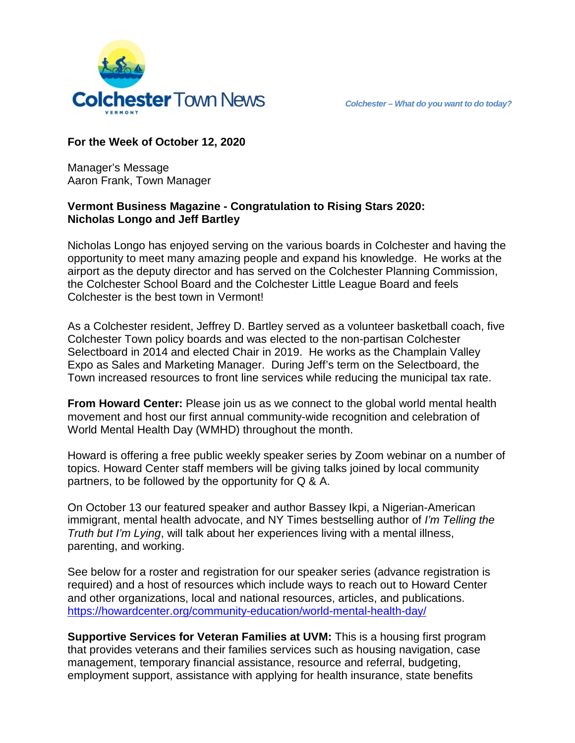

### **For the Week of October 12, 2020**

Manager's Message Aaron Frank, Town Manager

#### **Vermont Business Magazine - Congratulation to Rising Stars 2020: Nicholas Longo and Jeff Bartley**

Nicholas Longo has enjoyed serving on the various boards in Colchester and having the opportunity to meet many amazing people and expand his knowledge. He works at the airport as the deputy director and has served on the Colchester Planning Commission, the Colchester School Board and the Colchester Little League Board and feels Colchester is the best town in Vermont!

As a Colchester resident, Jeffrey D. Bartley served as a volunteer basketball coach, five Colchester Town policy boards and was elected to the non-partisan Colchester Selectboard in 2014 and elected Chair in 2019. He works as the Champlain Valley Expo as Sales and Marketing Manager. During Jeff's term on the Selectboard, the Town increased resources to front line services while reducing the municipal tax rate.

**From Howard Center:** Please join us as we connect to the global world mental health movement and host our first annual community-wide recognition and celebration of World Mental Health Day (WMHD) throughout the month.

Howard is offering a free public weekly speaker series by Zoom webinar on a number of topics. Howard Center staff members will be giving talks joined by local community partners, to be followed by the opportunity for Q & A.

On October 13 our featured speaker and author Bassey Ikpi, a Nigerian-American immigrant, mental health advocate, and NY Times bestselling author of *I'm Telling the Truth but I'm Lying*, will talk about her experiences living with a mental illness, parenting, and working.

See below for a roster and registration for our speaker series (advance registration is required) and a host of resources which include ways to reach out to Howard Center and other organizations, local and national resources, articles, and publications. <https://howardcenter.org/community-education/world-mental-health-day/>

**Supportive Services for Veteran Families at UVM:** This is a housing first program that provides veterans and their families services such as housing navigation, case management, temporary financial assistance, resource and referral, budgeting, employment support, assistance with applying for health insurance, state benefits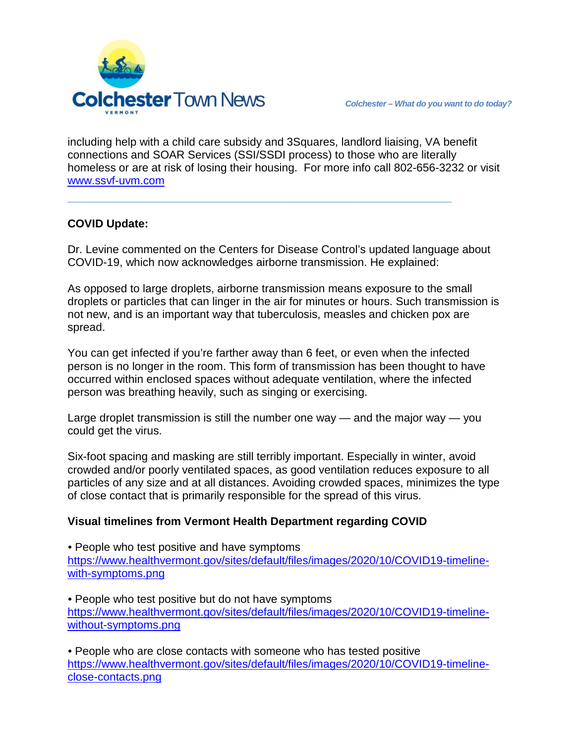

including help with a child care subsidy and 3Squares, landlord liaising, VA benefit connections and SOAR Services (SSI/SSDI process) to those who are literally homeless or are at risk of losing their housing. For more info call 802-656-3232 or visit [www.ssvf-uvm.com](http://www.ssvf-uvm.com/)

**\_\_\_\_\_\_\_\_\_\_\_\_\_\_\_\_\_\_\_\_\_\_\_\_\_\_\_\_\_\_\_\_\_\_\_\_\_\_\_\_\_\_\_\_\_\_**

### **COVID Update:**

Dr. Levine commented on the Centers for Disease Control's updated language about COVID-19, which now acknowledges airborne transmission. He explained:

As opposed to large droplets, airborne transmission means exposure to the small droplets or particles that can linger in the air for minutes or hours. Such transmission is not new, and is an important way that tuberculosis, measles and chicken pox are spread.

You can get infected if you're farther away than 6 feet, or even when the infected person is no longer in the room. This form of transmission has been thought to have occurred within enclosed spaces without adequate ventilation, where the infected person was breathing heavily, such as singing or exercising.

Large droplet transmission is still the number one way — and the major way — you could get the virus.

Six-foot spacing and masking are still terribly important. Especially in winter, avoid crowded and/or poorly ventilated spaces, as good ventilation reduces exposure to all particles of any size and at all distances. Avoiding crowded spaces, minimizes the type of close contact that is primarily responsible for the spread of this virus.

# **Visual timelines from Vermont Health Department regarding COVID**

• People who test positive and have symptoms [https://www.healthvermont.gov/sites/default/files/images/2020/10/COVID19-timeline](https://www.healthvermont.gov/sites/default/files/images/2020/10/COVID19-timeline-with-symptoms.png)[with-symptoms.png](https://www.healthvermont.gov/sites/default/files/images/2020/10/COVID19-timeline-with-symptoms.png)

• People who test positive but do not have symptoms [https://www.healthvermont.gov/sites/default/files/images/2020/10/COVID19-timeline](https://www.healthvermont.gov/sites/default/files/images/2020/10/COVID19-timeline-without-symptoms.png)[without-symptoms.png](https://www.healthvermont.gov/sites/default/files/images/2020/10/COVID19-timeline-without-symptoms.png)

• People who are close contacts with someone who has tested positive [https://www.healthvermont.gov/sites/default/files/images/2020/10/COVID19-timeline](https://www.healthvermont.gov/sites/default/files/images/2020/10/COVID19-timeline-close-contacts.png)[close-contacts.png](https://www.healthvermont.gov/sites/default/files/images/2020/10/COVID19-timeline-close-contacts.png)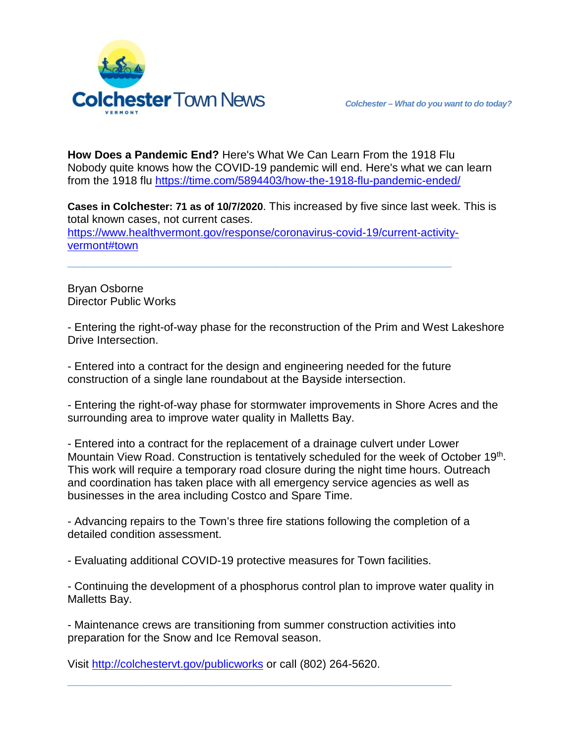

**How Does a Pandemic End?** Here's What We Can Learn From the 1918 Flu Nobody quite knows how the COVID-19 pandemic will end. Here's what we can learn from the 1918 flu <https://time.com/5894403/how-the-1918-flu-pandemic-ended/>

**Cases in Colchester: 71 as of 10/7/2020**. This increased by five since last week. This is total known cases, not current cases.

[https://www.healthvermont.gov/response/coronavirus-covid-19/current-activity](https://www.healthvermont.gov/response/coronavirus-covid-19/current-activity-vermont#town)[vermont#town](https://www.healthvermont.gov/response/coronavirus-covid-19/current-activity-vermont#town)

**\_\_\_\_\_\_\_\_\_\_\_\_\_\_\_\_\_\_\_\_\_\_\_\_\_\_\_\_\_\_\_\_\_\_\_\_\_\_\_\_\_\_\_\_\_\_**

Bryan Osborne Director Public Works

- Entering the right-of-way phase for the reconstruction of the Prim and West Lakeshore Drive Intersection.

- Entered into a contract for the design and engineering needed for the future construction of a single lane roundabout at the Bayside intersection.

- Entering the right-of-way phase for stormwater improvements in Shore Acres and the surrounding area to improve water quality in Malletts Bay.

- Entered into a contract for the replacement of a drainage culvert under Lower Mountain View Road. Construction is tentatively scheduled for the week of October 19th. This work will require a temporary road closure during the night time hours. Outreach and coordination has taken place with all emergency service agencies as well as businesses in the area including Costco and Spare Time.

- Advancing repairs to the Town's three fire stations following the completion of a detailed condition assessment.

- Evaluating additional COVID-19 protective measures for Town facilities.

- Continuing the development of a phosphorus control plan to improve water quality in Malletts Bay.

- Maintenance crews are transitioning from summer construction activities into preparation for the Snow and Ice Removal season.

**\_\_\_\_\_\_\_\_\_\_\_\_\_\_\_\_\_\_\_\_\_\_\_\_\_\_\_\_\_\_\_\_\_\_\_\_\_\_\_\_\_\_\_\_\_\_**

Visit<http://colchestervt.gov/publicworks> or call (802) 264-5620.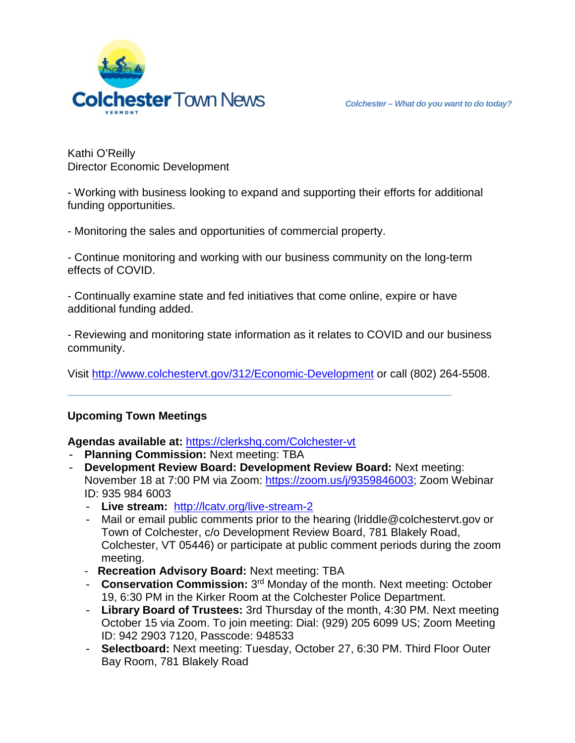

Kathi O'Reilly Director Economic Development

- Working with business looking to expand and supporting their efforts for additional funding opportunities.

- Monitoring the sales and opportunities of commercial property.

- Continue monitoring and working with our business community on the long-term effects of COVID.

- Continually examine state and fed initiatives that come online, expire or have additional funding added.

**\_\_\_\_\_\_\_\_\_\_\_\_\_\_\_\_\_\_\_\_\_\_\_\_\_\_\_\_\_\_\_\_\_\_\_\_\_\_\_\_\_\_\_\_\_\_**

- Reviewing and monitoring state information as it relates to COVID and our business community.

Visit<http://www.colchestervt.gov/312/Economic-Development> or call (802) 264-5508.

# **Upcoming Town Meetings**

**Agendas available at:** <https://clerkshq.com/Colchester-vt>

- **Planning Commission:** Next meeting: TBA
- **Development Review Board: Development Review Board:** Next meeting: November 18 at 7:00 PM via Zoom: [https://zoom.us/j/9359846003;](https://zoom.us/j/9359846003) Zoom Webinar ID: 935 984 6003
	- **Live stream:** <http://lcatv.org/live-stream-2>
	- Mail or email public comments prior to the hearing (lriddle@colchestervt.gov or Town of Colchester, c/o Development Review Board, 781 Blakely Road, Colchester, VT 05446) or participate at public comment periods during the zoom meeting.
	- **Recreation Advisory Board:** Next meeting: TBA
	- **Conservation Commission:** 3rd Monday of the month. Next meeting: October 19, 6:30 PM in the Kirker Room at the Colchester Police Department.
	- **Library Board of Trustees:** 3rd Thursday of the month, 4:30 PM. Next meeting October 15 via Zoom. To join meeting: Dial: (929) 205 6099 US; Zoom Meeting ID: 942 2903 7120, Passcode: 948533
	- **Selectboard:** Next meeting: Tuesday, October 27, 6:30 PM. Third Floor Outer Bay Room, 781 Blakely Road